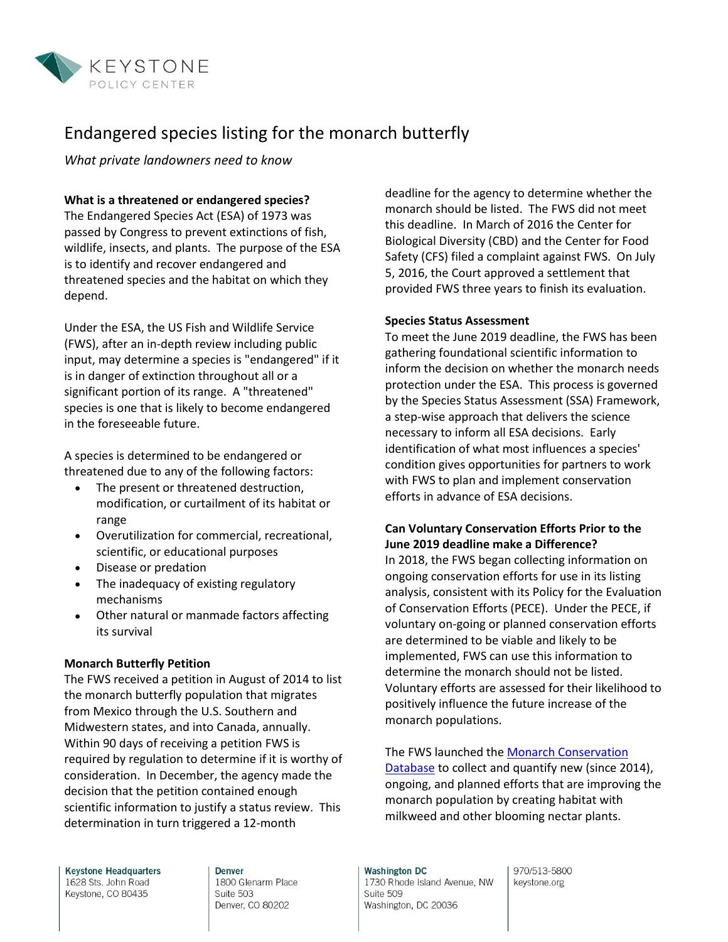

# Endangered species listing for the monarch butterfly

*What private landowners need to know*

## **What is a threatened or endangered species?**

The Endangered Species Act (ESA) of 1973 was passed by Congress to prevent extinctions of fish, wildlife, insects, and plants. The purpose of the ESA is to identify and recover endangered and threatened species and the habitat on which they depend.

Under the ESA, the US Fish and Wildlife Service (FWS), after an in-depth review including public input, may determine a species is "endangered" if it is in danger of extinction throughout all or a significant portion of its range. A "threatened" species is one that is likely to become endangered in the foreseeable future.

A species is determined to be endangered or threatened due to any of the following factors:

- The present or threatened destruction, modification, or curtailment of its habitat or range
- Overutilization for commercial, recreational, scientific, or educational purposes
- Disease or predation
- The inadequacy of existing regulatory mechanisms
- Other natural or manmade factors affecting its survival

#### **Monarch Butterfly Petition**

The FWS received a petition in August of 2014 to list the monarch butterfly population that migrates from Mexico through the U.S. Southern and Midwestern states, and into Canada, annually. Within 90 days of receiving a petition FWS is required by regulation to determine if it is worthy of consideration. In December, the agency made the decision that the petition contained enough scientific information to justify a status review. This determination in turn triggered a 12-month

deadline for the agency to determine whether the monarch should be listed. The FWS did not meet this deadline. In March of 2016 the Center for Biological Diversity (CBD) and the Center for Food Safety (CFS) filed a complaint against FWS. On July 5, 2016, the Court approved a settlement that provided FWS three years to finish its evaluation.

### **Species Status Assessment**

To meet the June 2019 deadline, the FWS has been gathering foundational scientific information to inform the decision on whether the monarch needs protection under the ESA. This process is governed by the Species Status Assessment (SSA) Framework, a step-wise approach that delivers the science necessary to inform all ESA decisions. Early identification of what most influences a species' condition gives opportunities for partners to work with FWS to plan and implement conservation efforts in advance of ESA decisions.

## **Can Voluntary Conservation Efforts Prior to the June 2019 deadline make a Difference?**

In 2018, the FWS began collecting information on ongoing conservation efforts for use in its listing analysis, consistent with its Policy for the Evaluation of Conservation Efforts (PECE). Under the PECE, if voluntary on-going or planned conservation efforts are determined to be viable and likely to be implemented, FWS can use this information to determine the monarch should not be listed. Voluntary efforts are assessed for their likelihood to positively influence the future increase of the monarch populations.

The FWS launched the **Monarch Conservation** [Database](https://www.fws.gov/savethemonarch/MCD.html) to collect and quantify new (since 2014), ongoing, and planned efforts that are improving the monarch population by creating habitat with milkweed and other blooming nectar plants.

**Keystone Headquarters** 1628 Sts. John Road Keystone, CO 80435

**Denver** 1800 Glenarm Place Suite 503 Denver, CO 80202

**Washington DC** 1730 Rhode Island Avenue, NW Suite 509 Washington, DC 20036

970/513-5800 keystone.org